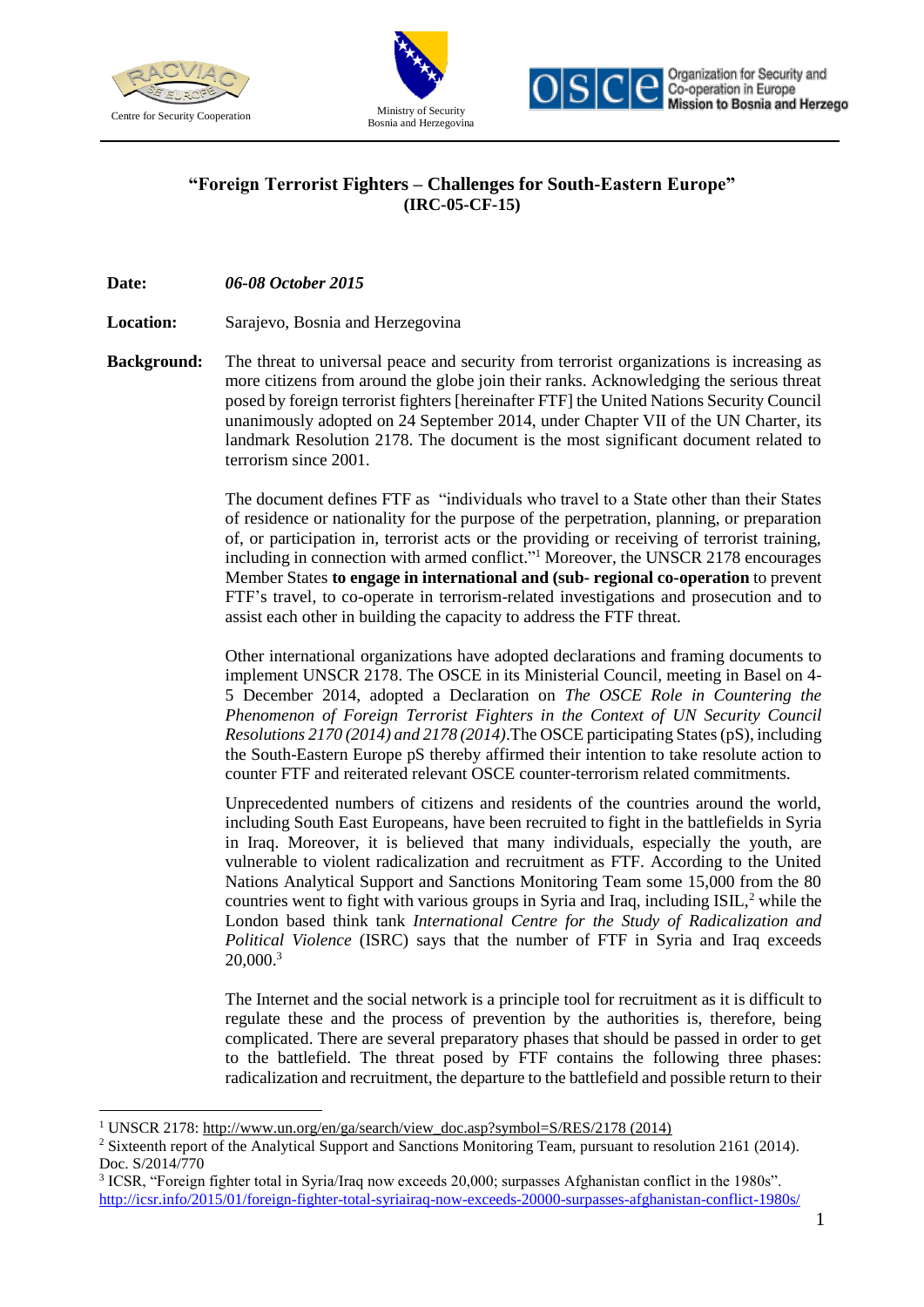

 $\overline{a}$ 





## **"Foreign Terrorist Fighters – Challenges for South-Eastern Europe" (IRC-05-CF-15)**

**Date:** *06-08 October 2015*

**Location:**  Sarajevo, Bosnia and Herzegovina

**Background:** The threat to universal peace and security from terrorist organizations is increasing as more citizens from around the globe join their ranks. Acknowledging the serious threat posed by foreign terrorist fighters [hereinafter FTF] the United Nations Security Council unanimously adopted on 24 September 2014, under Chapter VII of the UN Charter, its landmark Resolution 2178. The document is the most significant document related to terrorism since 2001.

> The document defines FTF as "individuals who travel to a State other than their States of residence or nationality for the purpose of the perpetration, planning, or preparation of, or participation in, terrorist acts or the providing or receiving of terrorist training, including in connection with armed conflict." <sup>1</sup> Moreover, the UNSCR 2178 encourages Member States **to engage in international and (sub- regional co-operation** to prevent FTF's travel, to co-operate in terrorism-related investigations and prosecution and to assist each other in building the capacity to address the FTF threat.

> Other international organizations have adopted declarations and framing documents to implement UNSCR 2178. The OSCE in its Ministerial Council, meeting in Basel on 4- 5 December 2014, adopted a Declaration on *The OSCE Role in Countering the Phenomenon of Foreign Terrorist Fighters in the Context of UN Security Council Resolutions 2170 (2014) and 2178 (2014)*.The OSCE participating States (pS), including the South-Eastern Europe pS thereby affirmed their intention to take resolute action to counter FTF and reiterated relevant OSCE counter-terrorism related commitments.

> Unprecedented numbers of citizens and residents of the countries around the world, including South East Europeans, have been recruited to fight in the battlefields in Syria in Iraq. Moreover, it is believed that many individuals, especially the youth, are vulnerable to violent radicalization and recruitment as FTF. According to the United Nations Analytical Support and Sanctions Monitoring Team some 15,000 from the 80 countries went to fight with various groups in Syria and Iraq, including ISIL, $<sup>2</sup>$  while the</sup> London based think tank *International Centre for the Study of Radicalization and Political Violence* (ISRC) says that the number of FTF in Syria and Iraq exceeds 20,000.<sup>3</sup>

> The Internet and the social network is a principle tool for recruitment as it is difficult to regulate these and the process of prevention by the authorities is, therefore, being complicated. There are several preparatory phases that should be passed in order to get to the battlefield. The threat posed by FTF contains the following three phases: radicalization and recruitment, the departure to the battlefield and possible return to their

<sup>&</sup>lt;sup>1</sup> UNSCR 2178: http://www.un.org/en/ga/search/view\_doc.asp?symbol=S/RES/2178 (2014)

<sup>&</sup>lt;sup>2</sup> Sixteenth report of the Analytical Support and Sanctions Monitoring Team, pursuant to resolution 2161 (2014). Doc. S/2014/770

<sup>3</sup> ICSR, "Foreign fighter total in Syria/Iraq now exceeds 20,000; surpasses Afghanistan conflict in the 1980s". <http://icsr.info/2015/01/foreign-fighter-total-syriairaq-now-exceeds-20000-surpasses-afghanistan-conflict-1980s/>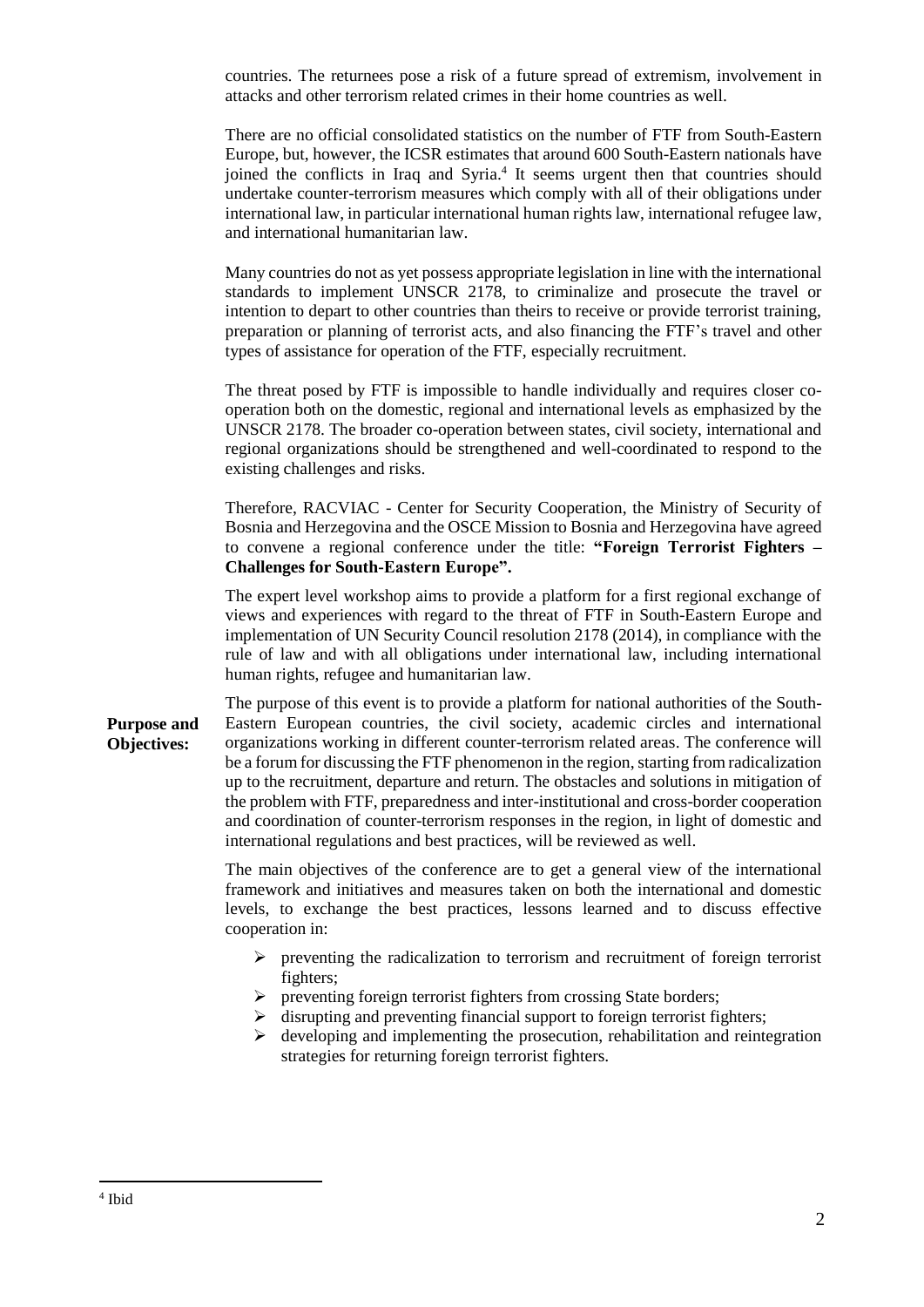countries. The returnees pose a risk of a future spread of extremism, involvement in attacks and other terrorism related crimes in their home countries as well.

There are no official consolidated statistics on the number of FTF from South-Eastern Europe, but, however, the ICSR estimates that around 600 South-Eastern nationals have joined the conflicts in Iraq and Syria. 4 It seems urgent then that countries should undertake counter-terrorism measures which comply with all of their obligations under international law, in particular international human rights law, international refugee law, and international humanitarian law.

Many countries do not as yet possess appropriate legislation in line with the international standards to implement UNSCR 2178, to criminalize and prosecute the travel or intention to depart to other countries than theirs to receive or provide terrorist training, preparation or planning of terrorist acts, and also financing the FTF's travel and other types of assistance for operation of the FTF, especially recruitment.

The threat posed by FTF is impossible to handle individually and requires closer cooperation both on the domestic, regional and international levels as emphasized by the UNSCR 2178. The broader co-operation between states, civil society, international and regional organizations should be strengthened and well-coordinated to respond to the existing challenges and risks.

Therefore, RACVIAC - Center for Security Cooperation, the Ministry of Security of Bosnia and Herzegovina and the OSCE Mission to Bosnia and Herzegovina have agreed to convene a regional conference under the title: **"Foreign Terrorist Fighters – Challenges for South-Eastern Europe".**

The expert level workshop aims to provide a platform for a first regional exchange of views and experiences with regard to the threat of FTF in South-Eastern Europe and implementation of UN Security Council resolution 2178 (2014), in compliance with the rule of law and with all obligations under international law, including international human rights, refugee and humanitarian law.

**Purpose and Objectives:** The purpose of this event is to provide a platform for national authorities of the South-Eastern European countries, the civil society, academic circles and international organizations working in different counter-terrorism related areas. The conference will be a forum for discussing the FTF phenomenon in the region, starting from radicalization up to the recruitment, departure and return. The obstacles and solutions in mitigation of the problem with FTF, preparedness and inter-institutional and cross-border cooperation and coordination of counter-terrorism responses in the region, in light of domestic and international regulations and best practices, will be reviewed as well.

> The main objectives of the conference are to get a general view of the international framework and initiatives and measures taken on both the international and domestic levels, to exchange the best practices, lessons learned and to discuss effective cooperation in:

- $\triangleright$  preventing the radicalization to terrorism and recruitment of foreign terrorist fighters;
- $\triangleright$  preventing foreign terrorist fighters from crossing State borders;
- $\triangleright$  disrupting and preventing financial support to foreign terrorist fighters;
- $\triangleright$  developing and implementing the prosecution, rehabilitation and reintegration strategies for returning foreign terrorist fighters.

 $\overline{a}$